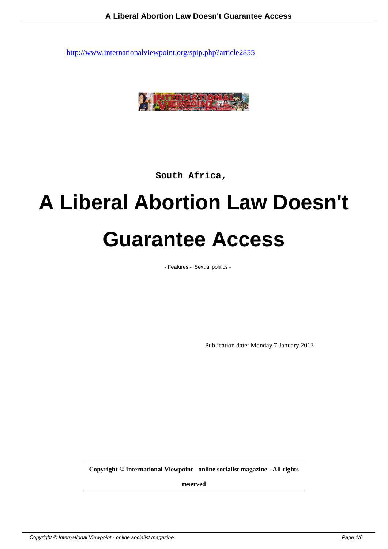

**South Africa,** 

## **A Liberal Abortion Law Doesn't Guarantee Access**

- Features - Sexual politics -

Publication date: Monday 7 January 2013

**Copyright © International Viewpoint - online socialist magazine - All rights**

**reserved**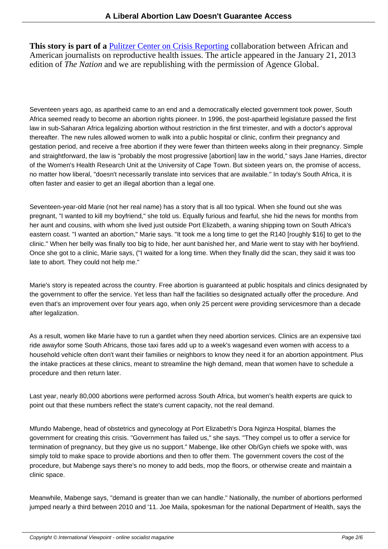**This story is part of a** Pulitzer Center on Crisis Reporting collaboration between African and American journalists on reproductive health issues. The article appeared in the January 21, 2013 edition of *The Nation* and we are republishing with the permission of Agence Global.

Seventeen years ago, as apartheid came to an end and a democratically elected government took power, South Africa seemed ready to become an abortion rights pioneer. In 1996, the post-apartheid legislature passed the first law in sub-Saharan Africa legalizing abortion without restriction in the first trimester, and with a doctor's approval thereafter. The new rules allowed women to walk into a public hospital or clinic, confirm their pregnancy and gestation period, and receive a free abortion if they were fewer than thirteen weeks along in their pregnancy. Simple and straightforward, the law is "probably the most progressive [abortion] law in the world," says Jane Harries, director of the Women's Health Research Unit at the University of Cape Town. But sixteen years on, the promise of access, no matter how liberal, "doesn't necessarily translate into services that are available." In today's South Africa, it is often faster and easier to get an illegal abortion than a legal one.

Seventeen-year-old Marie (not her real name) has a story that is all too typical. When she found out she was pregnant, "I wanted to kill my boyfriend," she told us. Equally furious and fearful, she hid the news for months from her aunt and cousins, with whom she lived just outside Port Elizabeth, a waning shipping town on South Africa's eastern coast. "I wanted an abortion," Marie says. "It took me a long time to get the R140 [roughly \$16] to get to the clinic." When her belly was finally too big to hide, her aunt banished her, and Marie went to stay with her boyfriend. Once she got to a clinic, Marie says, ("I waited for a long time. When they finally did the scan, they said it was too late to abort. They could not help me."

Marie's story is repeated across the country. Free abortion is guaranteed at public hospitals and clinics designated by the government to offer the service. Yet less than half the facilities so designated actually offer the procedure. And even that's an improvement over four years ago, when only 25 percent were providing servicesmore than a decade after legalization.

As a result, women like Marie have to run a gantlet when they need abortion services. Clinics are an expensive taxi ride away for some South Africans, those taxi fares add up to a week's wages and even women with access to a household vehicle often don't want their families or neighbors to know they need it for an abortion appointment. Plus the intake practices at these clinics, meant to streamline the high demand, mean that women have to schedule a procedure and then return later.

Last year, nearly 80,000 abortions were performed across South Africa, but women's health experts are quick to point out that these numbers reflect the state's current capacity, not the real demand.

Mfundo Mabenge, head of obstetrics and gynecology at Port Elizabeth's Dora Nginza Hospital, blames the government for creating this crisis. "Government has failed us," she says. "They compel us to offer a service for termination of pregnancy, but they give us no support." Mabenge, like other Ob/Gyn chiefs we spoke with, was simply told to make space to provide abortions and then to offer them. The government covers the cost of the procedure, but Mabenge says there's no money to add beds, mop the floors, or otherwise create and maintain a clinic space.

Meanwhile, Mabenge says, "demand is greater than we can handle." Nationally, the number of abortions performed jumped nearly a third between 2010 and '11. Joe Maila, spokesman for the national Department of Health, says the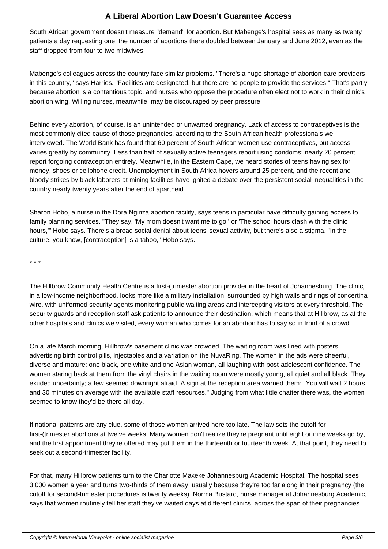South African government doesn't measure "demand" for abortion. But Mabenge's hospital sees as many as twenty patients a day requesting one; the number of abortions there doubled between January and June 2012, even as the staff dropped from four to two midwives.

Mabenge's colleagues across the country face similar problems. "There's a huge shortage of abortion-care providers in this country," says Harries. "Facilities are designated, but there are no people to provide the services." That's partly because abortion is a contentious topic, and nurses who oppose the procedure often elect not to work in their clinic's abortion wing. Willing nurses, meanwhile, may be discouraged by peer pressure.

Behind every abortion, of course, is an unintended or unwanted pregnancy. Lack of access to contraceptives is the most commonly cited cause of those pregnancies, according to the South African health professionals we interviewed. The World Bank has found that 60 percent of South African women use contraceptives, but access varies greatly by community. Less than half of sexually active teenagers report using condoms; nearly 20 percent report forgoing contraception entirely. Meanwhile, in the Eastern Cape, we heard stories of teens having sex for money, shoes or cellphone credit. Unemployment in South Africa hovers around 25 percent, and the recent and bloody strikes by black laborers at mining facilities have ignited a debate over the persistent social inequalities in the country nearly twenty years after the end of apartheid.

Sharon Hobo, a nurse in the Dora Nginza abortion facility, says teens in particular have difficulty gaining access to family planning services. "They say, 'My mom doesn't want me to go,' or 'The school hours clash with the clinic hours,' "Hobo says. There's a broad social denial about teens' sexual activity, but there's also a stigma. "In the culture, you know, [contraception] is a taboo," Hobo says.

\* \* \*

The Hillbrow Community Health Centre is a first-(trimester abortion provider in the heart of Johannesburg. The clinic, in a low-income neighborhood, looks more like a military installation, surrounded by high walls and rings of concertina wire, with uniformed security agents monitoring public waiting areas and intercepting visitors at every threshold. The security guards and reception staff ask patients to announce their destination, which means that at Hillbrow, as at the other hospitals and clinics we visited, every woman who comes for an abortion has to say so in front of a crowd.

On a late March morning, Hillbrow's basement clinic was crowded. The waiting room was lined with posters advertising birth control pills, injectables and a variation on the NuvaRing. The women in the ads were cheerful, diverse and mature: one black, one white and one Asian woman, all laughing with post-adolescent confidence. The women staring back at them from the vinyl chairs in the waiting room were mostly young, all quiet and all black. They exuded uncertainty; a few seemed downright afraid. A sign at the reception area warned them: "You will wait 2 hours and 30 minutes on average with the available staff resources." Judging from what little chatter there was, the women seemed to know they'd be there all day.

If national patterns are any clue, some of those women arrived here too late. The law sets the cutoff for first-(trimester abortions at twelve weeks. Many women don't realize they're pregnant until eight or nine weeks go by, and the first appointment they're offered may put them in the thirteenth or fourteenth week. At that point, they need to seek out a second-trimester facility.

For that, many Hillbrow patients turn to the Charlotte Maxeke Johannesburg Academic Hospital. The hospital sees 3,000 women a year and turns two-thirds of them away, usually because they're too far along in their pregnancy (the cutoff for second-trimester procedures is twenty weeks). Norma Bustard, nurse manager at Johannesburg Academic, says that women routinely tell her staff they've waited days at different clinics, across the span of their pregnancies.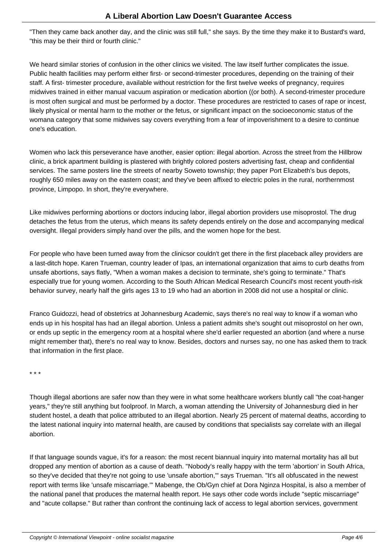"Then they came back another day, and the clinic was still full," she says. By the time they make it to Bustard's ward, "this may be their third or fourth clinic."

We heard similar stories of confusion in the other clinics we visited. The law itself further complicates the issue. Public health facilities may perform either first- or second-trimester procedures, depending on the training of their staff. A first- trimester procedure, available without restriction for the first twelve weeks of pregnancy, requires midwives trained in either manual vacuum aspiration or medication abortion ((or both). A second-trimester procedure is most often surgical and must be performed by a doctor. These procedures are restricted to cases of rape or incest, likely physical or mental harm to the mother or the fetus, or significant impact on the socioeconomic status of the woman a category that some midwives say covers everything from a fear of impoverishment to a desire to continue one's education.

Women who lack this perseverance have another, easier option: illegal abortion. Across the street from the Hillbrow clinic, a brick apartment building is plastered with brightly colored posters advertising fast, cheap and confidential services. The same posters line the streets of nearby Soweto township; they paper Port Elizabeth's bus depots, roughly 650 miles away on the eastern coast; and they've been affixed to electric poles in the rural, northernmost province, Limpopo. In short, they're everywhere.

Like midwives performing abortions or doctors inducing labor, illegal abortion providers use misoprostol. The drug detaches the fetus from the uterus, which means its safety depends entirely on the dose and accompanying medical oversight. Illegal providers simply hand over the pills, and the women hope for the best.

For people who have been turned away from the clinics or couldn't get there in the first place back alley providers are a last-ditch hope. Karen Trueman, country leader of Ipas, an international organization that aims to curb deaths from unsafe abortions, says flatly, "When a woman makes a decision to terminate, she's going to terminate." That's especially true for young women. According to the South African Medical Research Council's most recent youth-risk behavior survey, nearly half the girls ages 13 to 19 who had an abortion in 2008 did not use a hospital or clinic.

Franco Guidozzi, head of obstetrics at Johannesburg Academic, says there's no real way to know if a woman who ends up in his hospital has had an illegal abortion. Unless a patient admits she's sought out misoprostol on her own, or ends up septic in the emergency room at a hospital where she'd earlier requested an abortion (and where a nurse might remember that), there's no real way to know. Besides, doctors and nurses say, no one has asked them to track that information in the first place.

\* \* \*

Though illegal abortions are safer now than they were in what some healthcare workers bluntly call "the coat-hanger years," they're still anything but foolproof. In March, a woman attending the University of Johannesburg died in her student hostel, a death that police attributed to an illegal abortion. Nearly 25 percent of maternal deaths, according to the latest national inquiry into maternal health, are caused by conditions that specialists say correlate with an illegal abortion.

If that language sounds vague, it's for a reason: the most recent biannual inquiry into maternal mortality has all but dropped any mention of abortion as a cause of death. "Nobody's really happy with the term 'abortion' in South Africa, so they've decided that they're not going to use 'unsafe abortion,'" says Trueman. "It's all obfuscated in the newest report with terms like 'unsafe miscarriage.'" Mabenge, the Ob/Gyn chief at Dora Nginza Hospital, is also a member of the national panel that produces the maternal health report. He says other code words include "septic miscarriage" and "acute collapse." But rather than confront the continuing lack of access to legal abortion services, government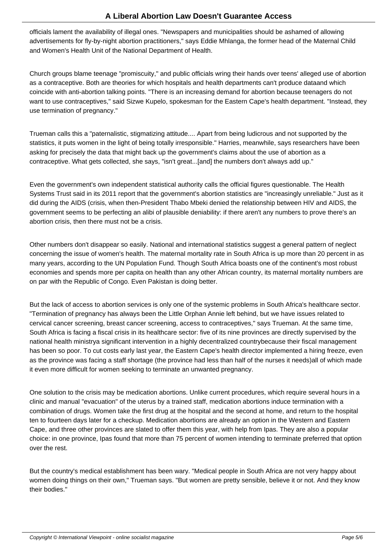officials lament the availability of illegal ones. "Newspapers and municipalities should be ashamed of allowing advertisements for fly-by-night abortion practitioners," says Eddie Mhlanga, the former head of the Maternal Child and Women's Health Unit of the National Department of Health.

Church groups blame teenage "promiscuity," and public officials wring their hands over teens' alleged use of abortion as a contraceptive. Both are theories for which hospitals and health departments can't produce data and which coincide with anti-abortion talking points. "There is an increasing demand for abortion because teenagers do not want to use contraceptives," said Sizwe Kupelo, spokesman for the Eastern Cape's health department. "Instead, they use termination of pregnancy."

Trueman calls this a "paternalistic, stigmatizing attitude.... Apart from being ludicrous and not supported by the statistics, it puts women in the light of being totally irresponsible." Harries, meanwhile, says researchers have been asking for precisely the data that might back up the government's claims about the use of abortion as a contraceptive. What gets collected, she says, "isn't great...[and] the numbers don't always add up."

Even the government's own independent statistical authority calls the official figures questionable. The Health Systems Trust said in its 2011 report that the government's abortion statistics are "increasingly unreliable." Just as it did during the AIDS (crisis, when then-President Thabo Mbeki denied the relationship between HIV and AIDS, the government seems to be perfecting an alibi of plausible deniability: if there aren't any numbers to prove there's an abortion crisis, then there must not be a crisis.

Other numbers don't disappear so easily. National and international statistics suggest a general pattern of neglect concerning the issue of women's health. The maternal mortality rate in South Africa is up more than 20 percent in as many years, according to the UN Population Fund. Though South Africa boasts one of the continent's most robust economies and spends more per capita on health than any other African country, its maternal mortality numbers are on par with the Republic of Congo. Even Pakistan is doing better.

But the lack of access to abortion services is only one of the systemic problems in South Africa's healthcare sector. "Termination of pregnancy has always been the Little Orphan Annie left behind, but we have issues related to cervical cancer screening, breast cancer screening, access to contraceptives," says Trueman. At the same time, South Africa is facing a fiscal crisis in its healthcare sector: five of its nine provinces are directly supervised by the national health ministry a significant intervention in a highly decentralized country because their fiscal management has been so poor. To cut costs early last year, the Eastern Cape's health director implemented a hiring freeze, even as the province was facing a staff shortage (the province had less than half of the nurses it needs) all of which made it even more difficult for women seeking to terminate an unwanted pregnancy.

One solution to the crisis may be medication abortions. Unlike current procedures, which require several hours in a clinic and manual "evacuation" of the uterus by a trained staff, medication abortions induce termination with a combination of drugs. Women take the first drug at the hospital and the second at home, and return to the hospital ten to fourteen days later for a checkup. Medication abortions are already an option in the Western and Eastern Cape, and three other provinces are slated to offer them this year, with help from Ipas. They are also a popular choice: in one province, Ipas found that more than 75 percent of women intending to terminate preferred that option over the rest.

But the country's medical establishment has been wary. "Medical people in South Africa are not very happy about women doing things on their own," Trueman says. "But women are pretty sensible, believe it or not. And they know their bodies."